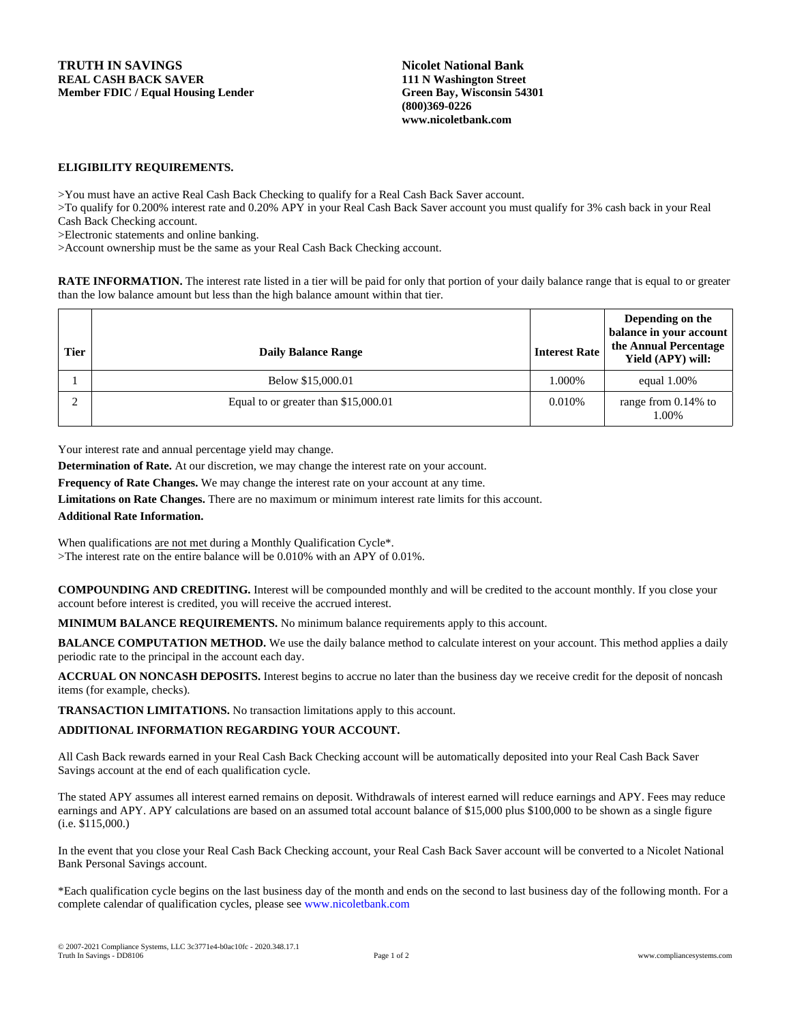**Nicolet National Bank 111 N Washington Street Green Bay, Wisconsin 54301 (800)369-0226 www.nicoletbank.com**

## **ELIGIBILITY REQUIREMENTS.**

>You must have an active Real Cash Back Checking to qualify for a Real Cash Back Saver account.

>To qualify for 0.200% interest rate and 0.20% APY in your Real Cash Back Saver account you must qualify for 3% cash back in your Real Cash Back Checking account.

>Electronic statements and online banking.

>Account ownership must be the same as your Real Cash Back Checking account.

**RATE INFORMATION.** The interest rate listed in a tier will be paid for only that portion of your daily balance range that is equal to or greater than the low balance amount but less than the high balance amount within that tier.

| <b>Tier</b> | <b>Daily Balance Range</b>           | <b>Interest Rate</b> | Depending on the<br>balance in your account<br>the Annual Percentage<br>Yield (APY) will: |
|-------------|--------------------------------------|----------------------|-------------------------------------------------------------------------------------------|
|             | Below \$15,000.01                    | 1.000%               | equal $1.00\%$                                                                            |
|             | Equal to or greater than \$15,000.01 | 0.010%               | range from 0.14% to<br>1.00%                                                              |

Your interest rate and annual percentage yield may change.

**Determination of Rate.** At our discretion, we may change the interest rate on your account.

**Frequency of Rate Changes.** We may change the interest rate on your account at any time.

**Limitations on Rate Changes.** There are no maximum or minimum interest rate limits for this account.

## **Additional Rate Information.**

When qualifications are not met during a Monthly Qualification Cycle\*. >The interest rate on the entire balance will be 0.010% with an APY of 0.01%.

**COMPOUNDING AND CREDITING.** Interest will be compounded monthly and will be credited to the account monthly. If you close your account before interest is credited, you will receive the accrued interest.

**MINIMUM BALANCE REQUIREMENTS.** No minimum balance requirements apply to this account.

**BALANCE COMPUTATION METHOD.** We use the daily balance method to calculate interest on your account. This method applies a daily periodic rate to the principal in the account each day.

**ACCRUAL ON NONCASH DEPOSITS.** Interest begins to accrue no later than the business day we receive credit for the deposit of noncash items (for example, checks).

**TRANSACTION LIMITATIONS.** No transaction limitations apply to this account.

## **ADDITIONAL INFORMATION REGARDING YOUR ACCOUNT.**

All Cash Back rewards earned in your Real Cash Back Checking account will be automatically deposited into your Real Cash Back Saver Savings account at the end of each qualification cycle.

The stated APY assumes all interest earned remains on deposit. Withdrawals of interest earned will reduce earnings and APY. Fees may reduce earnings and APY. APY calculations are based on an assumed total account balance of \$15,000 plus \$100,000 to be shown as a single figure (i.e. \$115,000.)

In the event that you close your Real Cash Back Checking account, your Real Cash Back Saver account will be converted to a Nicolet National Bank Personal Savings account.

\*Each qualification cycle begins on the last business day of the month and ends on the second to last business day of the following month. For a complete calendar of qualification cycles, please see www.nicoletbank.com